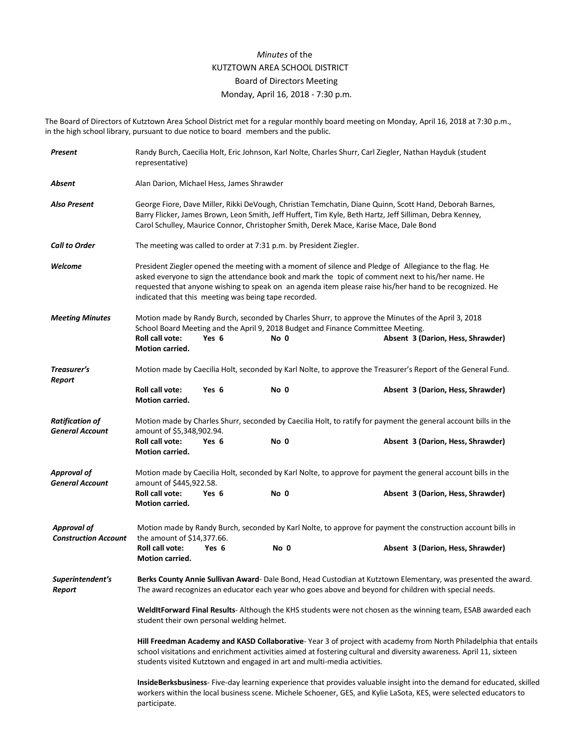## *Minutes* of the KUTZTOWN AREA SCHOOL DISTRICT Board of Directors Meeting Monday, April 16, 2018 - 7:30 p.m.

The Board of Directors of Kutztown Area School District met for a regular monthly board meeting on Monday, April 16, 2018 at 7:30 p.m., in the high school library, pursuant to due notice to board members and the public.

| Present                                           | Randy Burch, Caecilia Holt, Eric Johnson, Karl Nolte, Charles Shurr, Carl Ziegler, Nathan Hayduk (student<br>representative)                                                                                                                                                                                                                                                   |       |      |                                                                                                                                                                                                                             |  |  |  |
|---------------------------------------------------|--------------------------------------------------------------------------------------------------------------------------------------------------------------------------------------------------------------------------------------------------------------------------------------------------------------------------------------------------------------------------------|-------|------|-----------------------------------------------------------------------------------------------------------------------------------------------------------------------------------------------------------------------------|--|--|--|
| Absent                                            | Alan Darion, Michael Hess, James Shrawder                                                                                                                                                                                                                                                                                                                                      |       |      |                                                                                                                                                                                                                             |  |  |  |
| <b>Also Present</b>                               | George Fiore, Dave Miller, Rikki DeVough, Christian Temchatin, Diane Quinn, Scott Hand, Deborah Barnes,<br>Barry Flicker, James Brown, Leon Smith, Jeff Huffert, Tim Kyle, Beth Hartz, Jeff Silliman, Debra Kenney,<br>Carol Schulley, Maurice Connor, Christopher Smith, Derek Mace, Karise Mace, Dale Bond                                                                   |       |      |                                                                                                                                                                                                                             |  |  |  |
| <b>Call to Order</b>                              | The meeting was called to order at 7:31 p.m. by President Ziegler.                                                                                                                                                                                                                                                                                                             |       |      |                                                                                                                                                                                                                             |  |  |  |
| Welcome                                           | President Ziegler opened the meeting with a moment of silence and Pledge of Allegiance to the flag. He<br>asked everyone to sign the attendance book and mark the topic of comment next to his/her name. He<br>requested that anyone wishing to speak on an agenda item please raise his/her hand to be recognized. He<br>indicated that this meeting was being tape recorded. |       |      |                                                                                                                                                                                                                             |  |  |  |
| <b>Meeting Minutes</b>                            | Roll call vote:<br>Motion carried.                                                                                                                                                                                                                                                                                                                                             | Yes 6 | No 0 | Motion made by Randy Burch, seconded by Charles Shurr, to approve the Minutes of the April 3, 2018<br>School Board Meeting and the April 9, 2018 Budget and Finance Committee Meeting.<br>Absent 3 (Darion, Hess, Shrawder) |  |  |  |
| Treasurer's                                       | Motion made by Caecilia Holt, seconded by Karl Nolte, to approve the Treasurer's Report of the General Fund.                                                                                                                                                                                                                                                                   |       |      |                                                                                                                                                                                                                             |  |  |  |
| Report                                            | <b>Roll call vote:</b><br>Motion carried.                                                                                                                                                                                                                                                                                                                                      | Yes 6 | No 0 | Absent 3 (Darion, Hess, Shrawder)                                                                                                                                                                                           |  |  |  |
| <b>Ratification of</b><br><b>General Account</b>  | Motion made by Charles Shurr, seconded by Caecilia Holt, to ratify for payment the general account bills in the<br>amount of \$5,348,902.94.                                                                                                                                                                                                                                   |       |      |                                                                                                                                                                                                                             |  |  |  |
|                                                   | Roll call vote:<br><b>Motion carried.</b>                                                                                                                                                                                                                                                                                                                                      | Yes 6 | No 0 | Absent 3 (Darion, Hess, Shrawder)                                                                                                                                                                                           |  |  |  |
| <b>Approval of</b><br><b>General Account</b>      | Motion made by Caecilia Holt, seconded by Karl Nolte, to approve for payment the general account bills in the<br>amount of \$445,922.58.                                                                                                                                                                                                                                       |       |      |                                                                                                                                                                                                                             |  |  |  |
|                                                   | Roll call vote:<br>Motion carried.                                                                                                                                                                                                                                                                                                                                             | Yes 6 | No 0 | Absent 3 (Darion, Hess, Shrawder)                                                                                                                                                                                           |  |  |  |
| <b>Approval of</b><br><b>Construction Account</b> | Motion made by Randy Burch, seconded by Karl Nolte, to approve for payment the construction account bills in<br>the amount of \$14,377.66.                                                                                                                                                                                                                                     |       |      |                                                                                                                                                                                                                             |  |  |  |
|                                                   | <b>Roll call vote:</b><br><b>Motion carried.</b>                                                                                                                                                                                                                                                                                                                               | Yes 6 | No 0 | Absent 3 (Darion, Hess, Shrawder)                                                                                                                                                                                           |  |  |  |
| Superintendent's<br>Report                        | Berks County Annie Sullivan Award- Dale Bond, Head Custodian at Kutztown Elementary, was presented the award.<br>The award recognizes an educator each year who goes above and beyond for children with special needs.                                                                                                                                                         |       |      |                                                                                                                                                                                                                             |  |  |  |
|                                                   | WeldItForward Final Results-Although the KHS students were not chosen as the winning team, ESAB awarded each<br>student their own personal welding helmet.                                                                                                                                                                                                                     |       |      |                                                                                                                                                                                                                             |  |  |  |
|                                                   | Hill Freedman Academy and KASD Collaborative-Year 3 of project with academy from North Philadelphia that entails<br>school visitations and enrichment activities aimed at fostering cultural and diversity awareness. April 11, sixteen<br>students visited Kutztown and engaged in art and multi-media activities.                                                            |       |      |                                                                                                                                                                                                                             |  |  |  |
|                                                   | InsideBerksbusiness- Five-day learning experience that provides valuable insight into the demand for educated, skilled<br>workers within the local business scene. Michele Schoener, GES, and Kylie LaSota, KES, were selected educators to<br>participate.                                                                                                                    |       |      |                                                                                                                                                                                                                             |  |  |  |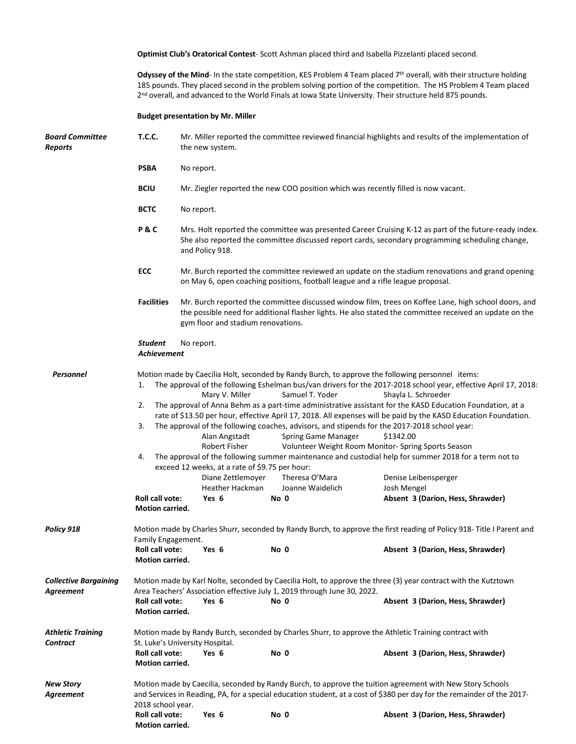**Optimist Club's Oratorical Contest**- Scott Ashman placed third and Isabella Pizzelanti placed second.

**Odyssey of the Mind**- In the state competition, KES Problem 4 Team placed 7<sup>th</sup> overall, with their structure holding 185 pounds. They placed second in the problem solving portion of the competition. The HS Problem 4 Team placed 2<sup>nd</sup> overall, and advanced to the World Finals at Iowa State University. Their structure held 875 pounds.

## **Budget presentation by Mr. Miller**

| <b>Board Committee</b><br>Reports         | Mr. Miller reported the committee reviewed financial highlights and results of the implementation of                                                                                                                                                                                                                                                                                                                                                                                                                                                                                                                                                                                                                                                                                                                                                                                                                                                                                                                                                                                                                                                           |                                                                                                                                                                                                                                                       |                                                                                  |                                                                                                                                                     |  |  |  |  |  |
|-------------------------------------------|----------------------------------------------------------------------------------------------------------------------------------------------------------------------------------------------------------------------------------------------------------------------------------------------------------------------------------------------------------------------------------------------------------------------------------------------------------------------------------------------------------------------------------------------------------------------------------------------------------------------------------------------------------------------------------------------------------------------------------------------------------------------------------------------------------------------------------------------------------------------------------------------------------------------------------------------------------------------------------------------------------------------------------------------------------------------------------------------------------------------------------------------------------------|-------------------------------------------------------------------------------------------------------------------------------------------------------------------------------------------------------------------------------------------------------|----------------------------------------------------------------------------------|-----------------------------------------------------------------------------------------------------------------------------------------------------|--|--|--|--|--|
|                                           | <b>PSBA</b>                                                                                                                                                                                                                                                                                                                                                                                                                                                                                                                                                                                                                                                                                                                                                                                                                                                                                                                                                                                                                                                                                                                                                    | No report.                                                                                                                                                                                                                                            |                                                                                  |                                                                                                                                                     |  |  |  |  |  |
|                                           | <b>BCIU</b>                                                                                                                                                                                                                                                                                                                                                                                                                                                                                                                                                                                                                                                                                                                                                                                                                                                                                                                                                                                                                                                                                                                                                    | Mr. Ziegler reported the new COO position which was recently filled is now vacant.                                                                                                                                                                    |                                                                                  |                                                                                                                                                     |  |  |  |  |  |
|                                           | <b>BCTC</b>                                                                                                                                                                                                                                                                                                                                                                                                                                                                                                                                                                                                                                                                                                                                                                                                                                                                                                                                                                                                                                                                                                                                                    | No report.                                                                                                                                                                                                                                            |                                                                                  |                                                                                                                                                     |  |  |  |  |  |
|                                           | <b>P&amp;C</b>                                                                                                                                                                                                                                                                                                                                                                                                                                                                                                                                                                                                                                                                                                                                                                                                                                                                                                                                                                                                                                                                                                                                                 | Mrs. Holt reported the committee was presented Career Cruising K-12 as part of the future-ready index.<br>She also reported the committee discussed report cards, secondary programming scheduling change,<br>and Policy 918.                         |                                                                                  |                                                                                                                                                     |  |  |  |  |  |
|                                           | ECC                                                                                                                                                                                                                                                                                                                                                                                                                                                                                                                                                                                                                                                                                                                                                                                                                                                                                                                                                                                                                                                                                                                                                            | Mr. Burch reported the committee reviewed an update on the stadium renovations and grand opening<br>on May 6, open coaching positions, football league and a rifle league proposal.                                                                   |                                                                                  |                                                                                                                                                     |  |  |  |  |  |
|                                           | <b>Facilities</b>                                                                                                                                                                                                                                                                                                                                                                                                                                                                                                                                                                                                                                                                                                                                                                                                                                                                                                                                                                                                                                                                                                                                              | Mr. Burch reported the committee discussed window film, trees on Koffee Lane, high school doors, and<br>the possible need for additional flasher lights. He also stated the committee received an update on the<br>gym floor and stadium renovations. |                                                                                  |                                                                                                                                                     |  |  |  |  |  |
|                                           | <b>Student</b><br>No report.<br><b>Achievement</b>                                                                                                                                                                                                                                                                                                                                                                                                                                                                                                                                                                                                                                                                                                                                                                                                                                                                                                                                                                                                                                                                                                             |                                                                                                                                                                                                                                                       |                                                                                  |                                                                                                                                                     |  |  |  |  |  |
| Personnel                                 | Motion made by Caecilia Holt, seconded by Randy Burch, to approve the following personnel items:<br>The approval of the following Eshelman bus/van drivers for the 2017-2018 school year, effective April 17, 2018:<br>1.<br>Mary V. Miller<br>Samuel T. Yoder<br>Shayla L. Schroeder<br>The approval of Anna Behm as a part-time administrative assistant for the KASD Education Foundation, at a<br>2.<br>rate of \$13.50 per hour, effective April 17, 2018. All expenses will be paid by the KASD Education Foundation.<br>3.<br>The approval of the following coaches, advisors, and stipends for the 2017-2018 school year:<br>\$1342.00<br>Alan Angstadt<br>Spring Game Manager<br>Robert Fisher<br>Volunteer Weight Room Monitor- Spring Sports Season<br>The approval of the following summer maintenance and custodial help for summer 2018 for a term not to<br>4.<br>exceed 12 weeks, at a rate of \$9.75 per hour:<br>Diane Zettlemoyer<br>Theresa O'Mara<br>Denise Leibensperger<br>Heather Hackman<br>Joanne Waidelich<br>Josh Mengel<br><b>Roll call vote:</b><br>Yes 6<br>Absent 3 (Darion, Hess, Shrawder)<br>No 0<br><b>Motion carried.</b> |                                                                                                                                                                                                                                                       |                                                                                  |                                                                                                                                                     |  |  |  |  |  |
| Policy 918                                | Motion made by Charles Shurr, seconded by Randy Burch, to approve the first reading of Policy 918- Title I Parent and<br>Family Engagement.<br>Roll call vote:<br>No 0<br>Absent 3 (Darion, Hess, Shrawder)<br>Yes 6                                                                                                                                                                                                                                                                                                                                                                                                                                                                                                                                                                                                                                                                                                                                                                                                                                                                                                                                           |                                                                                                                                                                                                                                                       |                                                                                  |                                                                                                                                                     |  |  |  |  |  |
|                                           | Motion carried.                                                                                                                                                                                                                                                                                                                                                                                                                                                                                                                                                                                                                                                                                                                                                                                                                                                                                                                                                                                                                                                                                                                                                |                                                                                                                                                                                                                                                       |                                                                                  |                                                                                                                                                     |  |  |  |  |  |
| <b>Collective Bargaining</b><br>Agreement | <b>Roll call vote:</b><br><b>Motion carried.</b>                                                                                                                                                                                                                                                                                                                                                                                                                                                                                                                                                                                                                                                                                                                                                                                                                                                                                                                                                                                                                                                                                                               | Yes 6                                                                                                                                                                                                                                                 | Area Teachers' Association effective July 1, 2019 through June 30, 2022.<br>No 0 | Motion made by Karl Nolte, seconded by Caecilia Holt, to approve the three (3) year contract with the Kutztown<br>Absent 3 (Darion, Hess, Shrawder) |  |  |  |  |  |
| <b>Athletic Training</b><br>Contract      | Motion made by Randy Burch, seconded by Charles Shurr, to approve the Athletic Training contract with<br>St. Luke's University Hospital.                                                                                                                                                                                                                                                                                                                                                                                                                                                                                                                                                                                                                                                                                                                                                                                                                                                                                                                                                                                                                       |                                                                                                                                                                                                                                                       |                                                                                  |                                                                                                                                                     |  |  |  |  |  |
|                                           | Roll call vote:<br>Motion carried.                                                                                                                                                                                                                                                                                                                                                                                                                                                                                                                                                                                                                                                                                                                                                                                                                                                                                                                                                                                                                                                                                                                             | Yes 6                                                                                                                                                                                                                                                 | No 0                                                                             | Absent 3 (Darion, Hess, Shrawder)                                                                                                                   |  |  |  |  |  |
| <b>New Story</b><br>Agreement             | Motion made by Caecilia, seconded by Randy Burch, to approve the tuition agreement with New Story Schools<br>and Services in Reading, PA, for a special education student, at a cost of \$380 per day for the remainder of the 2017-<br>2018 school year.                                                                                                                                                                                                                                                                                                                                                                                                                                                                                                                                                                                                                                                                                                                                                                                                                                                                                                      |                                                                                                                                                                                                                                                       |                                                                                  |                                                                                                                                                     |  |  |  |  |  |
|                                           | Roll call vote:<br><b>Motion carried.</b>                                                                                                                                                                                                                                                                                                                                                                                                                                                                                                                                                                                                                                                                                                                                                                                                                                                                                                                                                                                                                                                                                                                      | Yes 6                                                                                                                                                                                                                                                 | No 0                                                                             | Absent 3 (Darion, Hess, Shrawder)                                                                                                                   |  |  |  |  |  |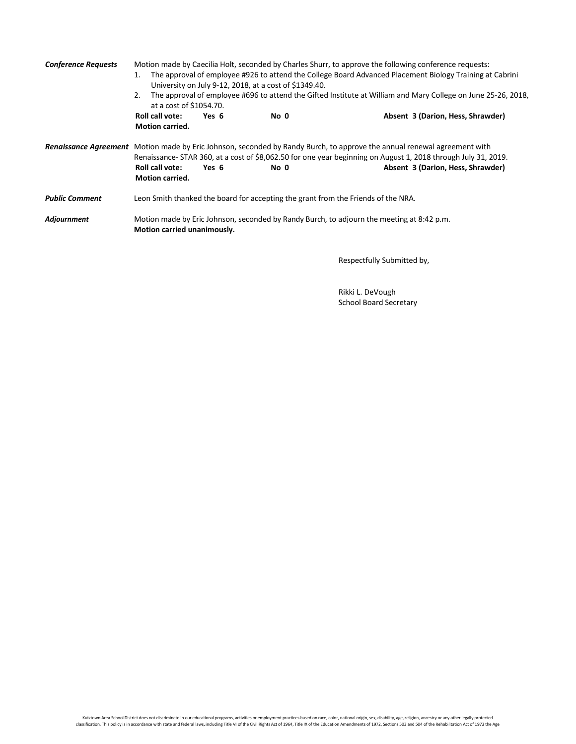| <b>Conference Requests</b> | Motion made by Caecilia Holt, seconded by Charles Shurr, to approve the following conference requests:<br>The approval of employee #926 to attend the College Board Advanced Placement Biology Training at Cabrini<br>1.<br>University on July 9-12, 2018, at a cost of \$1349.40.<br>The approval of employee #696 to attend the Gifted Institute at William and Mary College on June 25-26, 2018,<br>2.<br>at a cost of \$1054.70. |       |      |                                                                                                                                                                                                                                                                                 |  |  |  |
|----------------------------|--------------------------------------------------------------------------------------------------------------------------------------------------------------------------------------------------------------------------------------------------------------------------------------------------------------------------------------------------------------------------------------------------------------------------------------|-------|------|---------------------------------------------------------------------------------------------------------------------------------------------------------------------------------------------------------------------------------------------------------------------------------|--|--|--|
|                            | <b>Roll call vote:</b><br><b>Motion carried.</b>                                                                                                                                                                                                                                                                                                                                                                                     | Yes 6 | No 0 | Absent 3 (Darion, Hess, Shrawder)                                                                                                                                                                                                                                               |  |  |  |
|                            | Roll call vote:<br><b>Motion carried.</b>                                                                                                                                                                                                                                                                                                                                                                                            | Yes 6 | No 0 | Renaissance Agreement Motion made by Eric Johnson, seconded by Randy Burch, to approve the annual renewal agreement with<br>Renaissance- STAR 360, at a cost of \$8,062.50 for one year beginning on August 1, 2018 through July 31, 2019.<br>Absent 3 (Darion, Hess, Shrawder) |  |  |  |
| <b>Public Comment</b>      | Leon Smith thanked the board for accepting the grant from the Friends of the NRA.                                                                                                                                                                                                                                                                                                                                                    |       |      |                                                                                                                                                                                                                                                                                 |  |  |  |
| Adjournment                | Motion made by Eric Johnson, seconded by Randy Burch, to adjourn the meeting at 8:42 p.m.<br>Motion carried unanimously.                                                                                                                                                                                                                                                                                                             |       |      |                                                                                                                                                                                                                                                                                 |  |  |  |

Respectfully Submitted by,

Rikki L. DeVough School Board Secretary